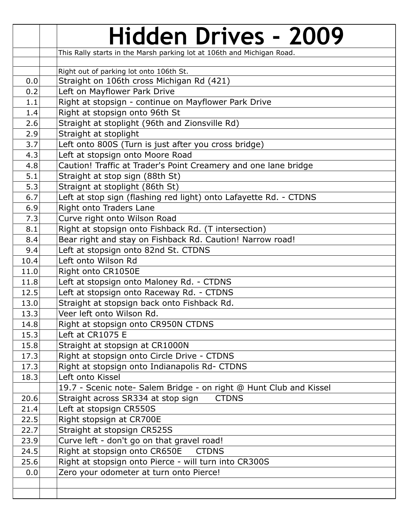|              | <b>Hidden Drives - 2009</b>                                                                  |
|--------------|----------------------------------------------------------------------------------------------|
|              | This Rally starts in the Marsh parking lot at 106th and Michigan Road.                       |
|              |                                                                                              |
|              | Right out of parking lot onto 106th St.                                                      |
| 0.0          | Straight on 106th cross Michigan Rd (421)                                                    |
| 0.2          | Left on Mayflower Park Drive                                                                 |
| 1.1          | Right at stopsign - continue on Mayflower Park Drive                                         |
| 1.4          | Right at stopsign onto 96th St                                                               |
| 2.6          | Straight at stoplight (96th and Zionsville Rd)                                               |
| 2.9          | Straight at stoplight                                                                        |
| 3.7          | Left onto 800S (Turn is just after you cross bridge)                                         |
| 4.3          | Left at stopsign onto Moore Road                                                             |
| 4.8          | Caution! Traffic at Trader's Point Creamery and one lane bridge                              |
| 5.1          | Straight at stop sign (88th St)                                                              |
| 5.3          | Straignt at stoplight (86th St)                                                              |
| 6.7          | Left at stop sign (flashing red light) onto Lafayette Rd. - CTDNS                            |
| 6.9          | Right onto Traders Lane                                                                      |
| 7.3          | Curve right onto Wilson Road                                                                 |
| 8.1          | Right at stopsign onto Fishback Rd. (T intersection)                                         |
| 8.4          | Bear right and stay on Fishback Rd. Caution! Narrow road!                                    |
| 9.4          | Left at stopsign onto 82nd St. CTDNS                                                         |
| 10.4         | Left onto Wilson Rd                                                                          |
| 11.0         | Right onto CR1050E                                                                           |
| 11.8         | Left at stopsign onto Maloney Rd. - CTDNS                                                    |
| 12.5         | Left at stopsign onto Raceway Rd. - CTDNS                                                    |
| 13.0         | Straight at stopsign back onto Fishback Rd.                                                  |
| 13.3         | Veer left onto Wilson Rd.                                                                    |
| 14.8         | Right at stopsign onto CR950N CTDNS<br>Left at CR1075 E                                      |
| 15.3         |                                                                                              |
| 15.8         | Straight at stopsign at CR1000N                                                              |
| 17.3<br>17.3 | Right at stopsign onto Circle Drive - CTDNS<br>Right at stopsign onto Indianapolis Rd- CTDNS |
| 18.3         | Left onto Kissel                                                                             |
|              | 19.7 - Scenic note- Salem Bridge - on right @ Hunt Club and Kissel                           |
| 20.6         | Straight across SR334 at stop sign<br><b>CTDNS</b>                                           |
| 21.4         | Left at stopsign CR550S                                                                      |
| 22.5         | Right stopsign at CR700E                                                                     |
| 22.7         | Straight at stopsign CR525S                                                                  |
| 23.9         | Curve left - don't go on that gravel road!                                                   |
| 24.5         | Right at stopsign onto CR650E<br><b>CTDNS</b>                                                |
| 25.6         | Right at stopsign onto Pierce - will turn into CR300S                                        |
| 0.0          | Zero your odometer at turn onto Pierce!                                                      |
|              |                                                                                              |
|              |                                                                                              |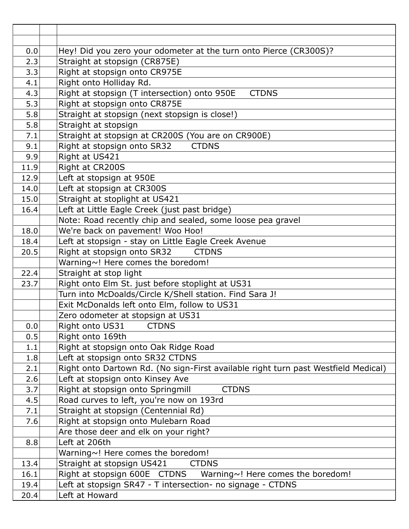| 0.0  | Hey! Did you zero your odometer at the turn onto Pierce (CR300S)?                  |
|------|------------------------------------------------------------------------------------|
| 2.3  | Straight at stopsign (CR875E)                                                      |
| 3.3  | Right at stopsign onto CR975E                                                      |
| 4.1  | Right onto Holliday Rd.                                                            |
| 4.3  | Right at stopsign (T intersection) onto 950E<br><b>CTDNS</b>                       |
| 5.3  | Right at stopsign onto CR875E                                                      |
| 5.8  | Straight at stopsign (next stopsign is close!)                                     |
| 5.8  | Straight at stopsign                                                               |
| 7.1  | Straight at stopsign at CR200S (You are on CR900E)                                 |
| 9.1  | Right at stopsign onto SR32<br><b>CTDNS</b>                                        |
| 9.9  | Right at US421                                                                     |
| 11.9 | Right at CR200S                                                                    |
| 12.9 | Left at stopsign at 950E                                                           |
| 14.0 | Left at stopsign at CR300S                                                         |
| 15.0 | Straight at stoplight at US421                                                     |
| 16.4 | Left at Little Eagle Creek (just past bridge)                                      |
|      | Note: Road recently chip and sealed, some loose pea gravel                         |
| 18.0 | We're back on pavement! Woo Hoo!                                                   |
| 18.4 | Left at stopsign - stay on Little Eagle Creek Avenue                               |
| 20.5 | Right at stopsign onto SR32<br><b>CTDNS</b>                                        |
|      | Warning~! Here comes the boredom!                                                  |
| 22.4 | Straight at stop light                                                             |
| 23.7 | Right onto Elm St. just before stoplight at US31                                   |
|      | Turn into McDoalds/Circle K/Shell station. Find Sara J!                            |
|      | Exit McDonalds left onto Elm, follow to US31                                       |
|      | Zero odometer at stopsign at US31                                                  |
| 0.0  | Right onto US31 CTDNS                                                              |
| 0.5  | Right onto 169th                                                                   |
| 1.1  | Right at stopsign onto Oak Ridge Road                                              |
| 1.8  | Left at stopsign onto SR32 CTDNS                                                   |
| 2.1  | Right onto Dartown Rd. (No sign-First available right turn past Westfield Medical) |
| 2.6  | Left at stopsign onto Kinsey Ave                                                   |
| 3.7  | Right at stopsign onto Springmill<br><b>CTDNS</b>                                  |
| 4.5  | Road curves to left, you're now on 193rd                                           |
| 7.1  | Straight at stopsign (Centennial Rd)                                               |
| 7.6  | Right at stopsign onto Mulebarn Road                                               |
|      | Are those deer and elk on your right?                                              |
| 8.8  | Left at 206th                                                                      |
|      | Warning~! Here comes the boredom!                                                  |
| 13.4 | Straight at stopsign US421<br><b>CTDNS</b>                                         |
| 16.1 | Right at stopsign 600E CTDNS<br>Warning~! Here comes the boredom!                  |
| 19.4 | Left at stopsign SR47 - T intersection- no signage - CTDNS                         |
| 20.4 | Left at Howard                                                                     |